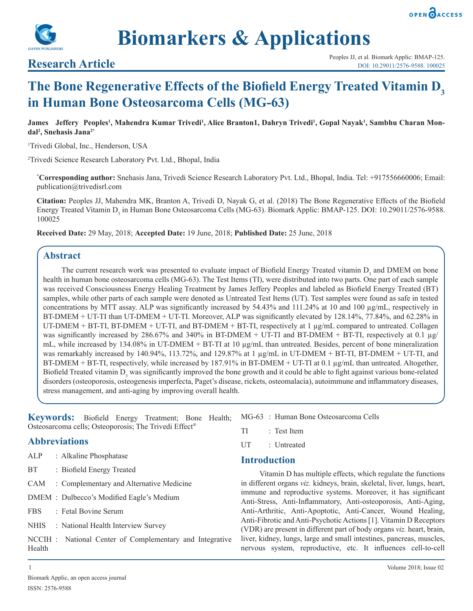



**Biomarkers & Applications**

# **The Bone Regenerative Effects of the Biofield Energy Treated Vitamin D<sup>3</sup> in Human Bone Osteosarcoma Cells (MG-63)**

**James Jeffery Peoples<sup>1</sup> , Mahendra Kumar Trivedi<sup>1</sup> , Alice Branton1, Dahryn Trivedi<sup>1</sup> , Gopal Nayak<sup>1</sup> , Sambhu Charan Mondal<sup>2</sup> , Snehasis Jana2\***

1 Trivedi Global, Inc., Henderson, USA

2 Trivedi Science Research Laboratory Pvt. Ltd., Bhopal, India

**\* Corresponding author:** Snehasis Jana, Trivedi Science Research Laboratory Pvt. Ltd., Bhopal, India. Tel: +917556660006; Email: publication@trivedisrl.com

**Citation:** Peoples JJ, Mahendra MK, Branton A, Trivedi D, Nayak G, et al. (2018) The Bone Regenerative Effects of the Biofield Energy Treated Vitamin D<sub>3</sub> in Human Bone Osteosarcoma Cells (MG-63). Biomark Applic: BMAP-125. DOI: 10.29011/2576-9588. 100025

**Received Date:** 29 May, 2018; **Accepted Date:** 19 June, 2018; **Published Date:** 25 June, 2018

# **Abstract**

The current research work was presented to evaluate impact of Biofield Energy Treated vitamin  $D_3$  and DMEM on bone health in human bone osteosarcoma cells (MG-63). The Test Items (TI), were distributed into two parts. One part of each sample was received Consciousness Energy Healing Treatment by James Jeffery Peoples and labeled as Biofield Energy Treated (BT) samples, while other parts of each sample were denoted as Untreated Test Items (UT). Test samples were found as safe in tested concentrations by MTT assay. ALP was significantly increased by  $54.43\%$  and  $111.24\%$  at 10 and 100  $\mu$ g/mL, respectively in BT-DMEM + UT-TI than UT-DMEM + UT-TI. Moreover, ALP was significantly elevated by 128.14%, 77.84%, and 62.28% in UT-DMEM + BT-TI, BT-DMEM + UT-TI, and BT-DMEM + BT-TI, respectively at 1 µg/mL compared to untreated. Collagen was significantly increased by 286.67% and 340% in BT-DMEM + UT-TI and BT-DMEM + BT-TI, respectively at 0.1 µg/ mL, while increased by 134.08% in UT-DMEM + BT-TI at 10  $\mu$ g/mL than untreated. Besides, percent of bone mineralization was remarkably increased by 140.94%, 113.72%, and 129.87% at 1  $\mu$ g/mL in UT-DMEM + BT-TI, BT-DMEM + UT-TI, and BT-DMEM + BT-TI, respectively, while increased by 187.91% in BT-DMEM + UT-TI at 0.1 µg/mL than untreated. Altogether, Biofield Treated vitamin  $D_3$  was significantly improved the bone growth and it could be able to fight against various bone-related disorders (osteoporosis, osteogenesis imperfecta, Paget's disease, rickets, osteomalacia), autoimmune and inflammatory diseases, stress management, and anti-aging by improving overall health.

**Keywords:** Biofield Energy Treatment; Bone Health; Osteosarcoma cells; Osteoporosis; The Trivedi Effect®

# **Abbreviations**

- ALP : Alkaline Phosphatase
- BT : Biofield Energy Treated
- CAM : Complementary and Alternative Medicine
- DMEM : Dulbecco's Modified Eagle's Medium
- FBS : Fetal Bovine Serum
- NHIS : National Health Interview Survey
- NCCIH : National Center of Complementary and Integrative Health
- MG-63 : Human Bone Osteosarcoma Cells
- TI : Test Item
- UT : Untreated

# **Introduction**

Vitamin D has multiple effects, which regulate the functions in different organs *viz.* kidneys, brain, skeletal, liver, lungs, heart, immune and reproductive systems. Moreover, it has significant Anti-Stress, Anti-Inflammatory, Anti-osteoporosis, Anti-Aging, Anti-Arthritic, Anti-Apoptotic, Anti-Cancer, Wound Healing, Anti-Fibrotic and Anti-Psychotic Actions [1]. Vitamin D Receptors (VDR) are present in different part of body organs *viz.* heart, brain, liver, kidney, lungs, large and small intestines, pancreas, muscles, nervous system, reproductive, etc. It influences cell-to-cell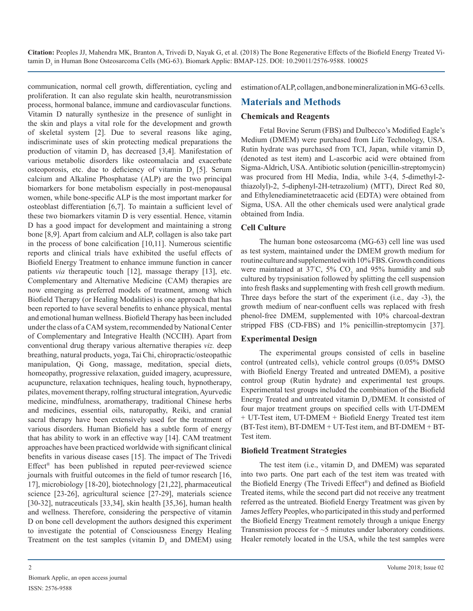communication, normal cell growth, differentiation, cycling and proliferation. It can also regulate skin health, neurotransmission process, hormonal balance, immune and cardiovascular functions. Vitamin D naturally synthesize in the presence of sunlight in the skin and plays a vital role for the development and growth of skeletal system [2]. Due to several reasons like aging, indiscriminate uses of skin protecting medical preparations the production of vitamin  $D_3$  has decreased [3,4]. Manifestation of various metabolic disorders like osteomalacia and exacerbate osteoporosis, etc. due to deficiency of vitamin  $D<sub>3</sub>$  [5]. Serum calcium and Alkaline Phosphatase (ALP) are the two principal biomarkers for bone metabolism especially in post-menopausal women, while bone-specific ALP is the most important marker for osteoblast differentiation [6,7]. To maintain a sufficient level of these two biomarkers vitamin D is very essential. Hence, vitamin D has a good impact for development and maintaining a strong bone [8,9]. Apart from calcium and ALP, collagen is also take part in the process of bone calcification [10,11]. Numerous scientific reports and clinical trials have exhibited the useful effects of Biofield Energy Treatment to enhance immune function in cancer patients *via* therapeutic touch [12], massage therapy [13], etc. Complementary and Alternative Medicine (CAM) therapies are now emerging as preferred models of treatment, among which Biofield Therapy (or Healing Modalities) is one approach that has been reported to have several benefits to enhance physical, mental and emotional human wellness. Biofield Therapy has been included under the class of a CAM system, recommended by National Center of Complementary and Integrative Health (NCCIH). Apart from conventional drug therapy various alternative therapies *viz.* deep breathing, natural products, yoga, Tai Chi, chiropractic/osteopathic manipulation, Qi Gong, massage, meditation, special diets, homeopathy, progressive relaxation, guided imagery, acupressure, acupuncture, relaxation techniques, healing touch, hypnotherapy, pilates, movement therapy, rolfing structural integration, Ayurvedic medicine, mindfulness, aromatherapy, traditional Chinese herbs and medicines, essential oils, naturopathy, Reiki, and cranial sacral therapy have been extensively used for the treatment of various disorders. Human Biofield has a subtle form of energy that has ability to work in an effective way [14]. CAM treatment approaches have been practiced worldwide with significant clinical benefits in various disease cases [15]. The impact of The Trivedi Effect® has been published in reputed peer-reviewed science journals with fruitful outcomes in the field of tumor research [16, 17], microbiology [18-20], biotechnology [21,22], pharmaceutical science [23-26], agricultural science [27-29], materials science [30-32], nutraceuticals [33,34], skin health [35,36], human health and wellness. Therefore, considering the perspective of vitamin D on bone cell development the authors designed this experiment to investigate the potential of Consciousness Energy Healing Treatment on the test samples (vitamin  $D_3$  and DMEM) using estimation of ALP, collagen, and bone mineralization in MG-63 cells.

# **Materials and Methods**

#### **Chemicals and Reagents**

Fetal Bovine Serum (FBS) and Dulbecco's Modified Eagle's Medium (DMEM) were purchased from Life Technology, USA. Rutin hydrate was purchased from TCI, Japan, while vitamin  $D<sub>3</sub>$ (denoted as test item) and L-ascorbic acid were obtained from Sigma-Aldrich, USA. Antibiotic solution (penicillin-streptomycin) was procured from HI Media, India, while 3-(4, 5-dimethyl-2 thiazolyl)-2, 5-diphenyl-2H-tetrazolium) (MTT), Direct Red 80, and Ethylenediaminetetraacetic acid (EDTA) were obtained from Sigma, USA. All the other chemicals used were analytical grade obtained from India.

## **Cell Culture**

The human bone osteosarcoma (MG-63) cell line was used as test system, maintained under the DMEM growth medium for routine culture and supplemented with 10% FBS. Growth conditions were maintained at 37°C,  $5\%$  CO<sub>2</sub> and 95% humidity and sub cultured by trypsinisation followed by splitting the cell suspension into fresh flasks and supplementing with fresh cell growth medium. Three days before the start of the experiment (i.e*.,* day -3), the growth medium of near-confluent cells was replaced with fresh phenol-free DMEM, supplemented with 10% charcoal-dextran stripped FBS (CD-FBS) and 1% penicillin-streptomycin [37].

## **Experimental Design**

The experimental groups consisted of cells in baseline control (untreated cells), vehicle control groups (0.05% DMSO with Biofield Energy Treated and untreated DMEM), a positive control group (Rutin hydrate) and experimental test groups. Experimental test groups included the combination of the Biofield Energy Treated and untreated vitamin  $D_3/DMEM$ . It consisted of four major treatment groups on specified cells with UT-DMEM + UT-Test item, UT-DMEM + Biofield Energy Treated test item (BT-Test item), BT-DMEM + UT-Test item, and BT-DMEM + BT-Test item.

## **Biofield Treatment Strategies**

The test item (i.e., vitamin  $D_3$  and DMEM) was separated into two parts. One part each of the test item was treated with the Biofield Energy (The Trivedi Effect®) and defined as Biofield Treated items, while the second part did not receive any treatment referred as the untreated. Biofield Energy Treatment was given by James Jeffery Peoples, who participated in this study and performed the Biofield Energy Treatment remotely through a unique Energy Transmission process for ~5 minutes under laboratory conditions. Healer remotely located in the USA, while the test samples were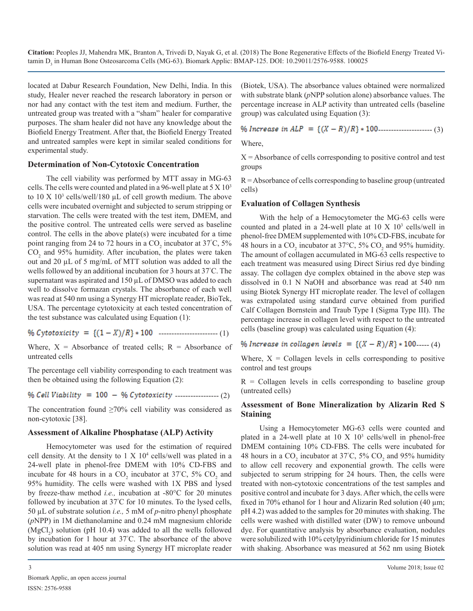located at Dabur Research Foundation, New Delhi, India. In this study, Healer never reached the research laboratory in person or nor had any contact with the test item and medium. Further, the untreated group was treated with a "sham" healer for comparative purposes. The sham healer did not have any knowledge about the Biofield Energy Treatment. After that, the Biofield Energy Treated and untreated samples were kept in similar sealed conditions for experimental study.

#### **Determination of Non-Cytotoxic Concentration**

The cell viability was performed by MTT assay in MG-63 cells. The cells were counted and plated in a 96-well plate at  $5 \times 10^3$ to  $10 \text{ X } 10^3$  cells/well/180  $\mu$ L of cell growth medium. The above cells were incubated overnight and subjected to serum stripping or starvation. The cells were treated with the test item, DMEM, and the positive control. The untreated cells were served as baseline control. The cells in the above plate(s) were incubated for a time point ranging from 24 to 72 hours in a  $CO_2$  incubator at 37°C, 5%  $CO<sub>2</sub>$  and 95% humidity. After incubation, the plates were taken out and 20 µL of 5 mg/mL of MTT solution was added to all the wells followed by an additional incubation for 3 hours at 37° C. The supernatant was aspirated and 150  $\mu$ L of DMSO was added to each well to dissolve formazan crystals. The absorbance of each well was read at 540 nm using a Synergy HT microplate reader, BioTek, USA. The percentage cytotoxicity at each tested concentration of the test substance was calculated using Equation (1):

----------------------- (1)

Where,  $X = Absorbance$  of treated cells;  $R = Absorbance$  of untreated cells

The percentage cell viability corresponding to each treatment was then be obtained using the following Equation (2):

 $%$  Cell Viability = 100 - % Cytotoxicity ----------------- (2)

The concentration found  $\geq 70\%$  cell viability was considered as non-cytotoxic [38].

## **Assessment of Alkaline Phosphatase (ALP) Activity**

Hemocytometer was used for the estimation of required cell density. At the density to  $1 \times 10^4$  cells/well was plated in a 24-well plate in phenol-free DMEM with 10% CD-FBS and incubate for 48 hours in a  $CO_2$  incubator at 37°C, 5%  $CO_2$  and 95% humidity. The cells were washed with 1X PBS and lysed by freeze-thaw method *i.e.,* incubation at -80°C for 20 minutes followed by incubation at 37° C for 10 minutes. To the lysed cells, 50 µL of substrate solution *i.e.,* 5 mM of *p*-nitro phenyl phosphate (*p*NPP) in 1M diethanolamine and 0.24 mM magnesium chloride  $(MgCl<sub>2</sub>)$  solution (pH 10.4) was added to all the wells followed by incubation for 1 hour at 37° C. The absorbance of the above solution was read at 405 nm using Synergy HT microplate reader

(Biotek, USA). The absorbance values obtained were normalized with substrate blank (*p*NPP solution alone) absorbance values. The percentage increase in ALP activity than untreated cells (baseline group) was calculated using Equation (3):

 $\%$  Increase in ALP = { $(X - R)/R$ } \* 100---------------------- (3)

Where,

 $X =$  Absorbance of cells corresponding to positive control and test groups

R = Absorbance of cells corresponding to baseline group (untreated cells)

## **Evaluation of Collagen Synthesis**

With the help of a Hemocytometer the MG-63 cells were counted and plated in a 24-well plate at  $10 \text{ X } 10^3$  cells/well in phenol-free DMEM supplemented with 10% CD-FBS, incubate for 48 hours in a  $CO_2$  incubator at 37°C, 5%  $CO_2$  and 95% humidity. The amount of collagen accumulated in MG-63 cells respective to each treatment was measured using Direct Sirius red dye binding assay. The collagen dye complex obtained in the above step was dissolved in 0.1 N NaOH and absorbance was read at 540 nm using Biotek Synergy HT microplate reader. The level of collagen was extrapolated using standard curve obtained from purified Calf Collagen Bornstein and Traub Type I (Sigma Type III). The percentage increase in collagen level with respect to the untreated cells (baseline group) was calculated using Equation (4):

% Increase in collagen levels =  $\{(X - R)/R\} * 100$  ..... (4)

Where,  $X =$  Collagen levels in cells corresponding to positive control and test groups

 $R =$  Collagen levels in cells corresponding to baseline group (untreated cells)

# **Assessment of Bone Mineralization by Alizarin Red S Staining**

Using a Hemocytometer MG-63 cells were counted and plated in a 24-well plate at  $10 \text{ X } 10^3$  cells/well in phenol-free DMEM containing 10% CD-FBS. The cells were incubated for 48 hours in a  $CO_2$  incubator at 37°C, 5%  $CO_2$  and 95% humidity to allow cell recovery and exponential growth. The cells were subjected to serum stripping for 24 hours. Then, the cells were treated with non-cytotoxic concentrations of the test samples and positive control and incubate for 3 days. After which, the cells were fixed in 70% ethanol for 1 hour and Alizarin Red solution (40 µm; pH 4.2) was added to the samples for 20 minutes with shaking. The cells were washed with distilled water (DW) to remove unbound dye. For quantitative analysis by absorbance evaluation, nodules were solubilized with 10% cetylpyridinium chloride for 15 minutes with shaking. Absorbance was measured at 562 nm using Biotek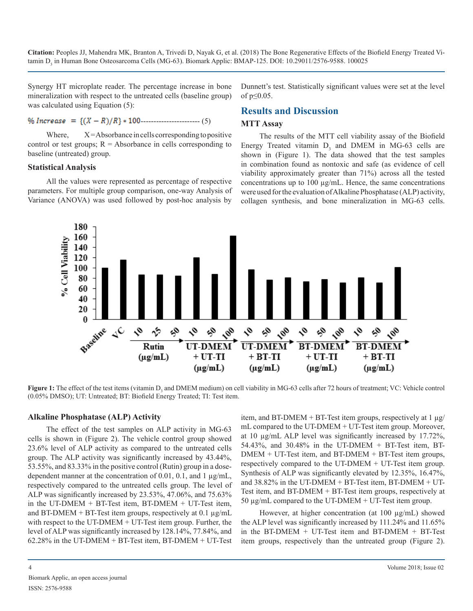Synergy HT microplate reader. The percentage increase in bone mineralization with respect to the untreated cells (baseline group) was calculated using Equation (5):

# $\%$  Increase = { $(X - R)/R$ } \* 100 - - - - - - - - - - - - - - - - - (5)

Dunnett's test. Statistically significant values were set at the level of  $p \leq 0.05$ .

# **Results and Discussion**

#### **MTT Assay**

Where,  $X =$ Absorbance in cells corresponding to positive control or test groups;  $R =$  Absorbance in cells corresponding to baseline (untreated) group.

#### **Statistical Analysis**

All the values were represented as percentage of respective parameters. For multiple group comparison, one-way Analysis of Variance (ANOVA) was used followed by post-hoc analysis by

The results of the MTT cell viability assay of the Biofield Energy Treated vitamin  $D_3$  and DMEM in MG-63 cells are shown in (Figure 1). The data showed that the test samples in combination found as nontoxic and safe (as evidence of cell viability approximately greater than 71%) across all the tested concentrations up to 100 µg/mL. Hence, the same concentrations were used for the evaluation of Alkaline Phosphatase (ALP) activity, collagen synthesis, and bone mineralization in MG-63 cells.



**Figure 1:** The effect of the test items (vitamin D<sub>3</sub> and DMEM medium) on cell viability in MG-63 cells after 72 hours of treatment; VC: Vehicle control (0.05% DMSO); UT: Untreated; BT: Biofield Energy Treated; TI: Test item.

#### **Alkaline Phosphatase (ALP) Activity**

The effect of the test samples on ALP activity in MG-63 cells is shown in (Figure 2). The vehicle control group showed 23.6% level of ALP activity as compared to the untreated cells group. The ALP activity was significantly increased by 43.44%, 53.55%, and 83.33% in the positive control (Rutin) group in a dosedependent manner at the concentration of 0.01, 0.1, and 1 µg/mL, respectively compared to the untreated cells group. The level of ALP was significantly increased by 23.53%, 47.06%, and 75.63% in the UT-DMEM + BT-Test item, BT-DMEM + UT-Test item, and BT-DMEM + BT-Test item groups, respectively at 0.1  $\mu$ g/mL with respect to the UT-DMEM + UT-Test item group. Further, the level of ALP was significantly increased by 128.14%, 77.84%, and 62.28% in the UT-DMEM + BT-Test item, BT-DMEM + UT-Test

item, and BT-DMEM + BT-Test item groups, respectively at  $1 \mu g$ / mL compared to the UT-DMEM + UT-Test item group. Moreover, at 10 µg/mL ALP level was significantly increased by 17.72%, 54.43%, and 30.48% in the UT-DMEM + BT-Test item, BT-DMEM + UT-Test item, and BT-DMEM + BT-Test item groups, respectively compared to the UT-DMEM + UT-Test item group. Synthesis of ALP was significantly elevated by 12.35%, 16.47%, and  $38.82\%$  in the UT-DMEM + BT-Test item, BT-DMEM + UT-Test item, and BT-DMEM + BT-Test item groups, respectively at 50 µg/mL compared to the UT-DMEM + UT-Test item group.

However, at higher concentration (at 100  $\mu$ g/mL) showed the ALP level was significantly increased by 111.24% and 11.65% in the BT-DMEM + UT-Test item and BT-DMEM + BT-Test item groups, respectively than the untreated group (Figure 2).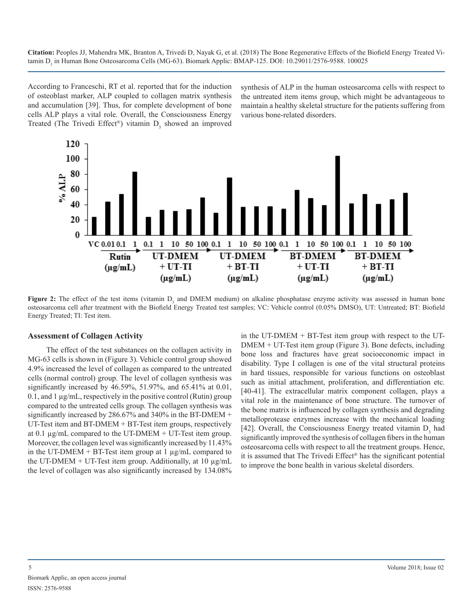According to Franceschi, RT et al. reported that for the induction of osteoblast marker, ALP coupled to collagen matrix synthesis and accumulation [39]. Thus, for complete development of bone cells ALP plays a vital role. Overall, the Consciousness Energy Treated (The Trivedi Effect®) vitamin  $D_3$  showed an improved

synthesis of ALP in the human osteosarcoma cells with respect to the untreated item items group, which might be advantageous to maintain a healthy skeletal structure for the patients suffering from various bone-related disorders.



**Figure 2:** The effect of the test items (vitamin D<sub>3</sub> and DMEM medium) on alkaline phosphatase enzyme activity was assessed in human bone osteosarcoma cell after treatment with the Biofield Energy Treated test samples; VC: Vehicle control (0.05% DMSO), UT: Untreated; BT: Biofield Energy Treated; TI: Test item.

#### **Assessment of Collagen Activity**

The effect of the test substances on the collagen activity in MG-63 cells is shown in (Figure 3). Vehicle control group showed 4.9% increased the level of collagen as compared to the untreated cells (normal control) group. The level of collagen synthesis was significantly increased by 46.59%, 51.97%, and 65.41% at 0.01, 0.1, and 1  $\mu$ g/mL, respectively in the positive control (Rutin) group compared to the untreated cells group. The collagen synthesis was significantly increased by 286.67% and 340% in the BT-DMEM + UT-Test item and BT-DMEM + BT-Test item groups, respectively at 0.1  $\mu$ g/mL compared to the UT-DMEM + UT-Test item group. Moreover, the collagen level was significantly increased by 11.43% in the UT-DMEM + BT-Test item group at  $1 \mu g/mL$  compared to the UT-DMEM + UT-Test item group. Additionally, at 10  $\mu$ g/mL the level of collagen was also significantly increased by 134.08% in the UT-DMEM + BT-Test item group with respect to the UT-DMEM + UT-Test item group (Figure 3). Bone defects, including bone loss and fractures have great socioeconomic impact in disability. Type I collagen is one of the vital structural proteins in hard tissues, responsible for various functions on osteoblast such as initial attachment, proliferation, and differentiation etc. [40-41]. The extracellular matrix component collagen, plays a vital role in the maintenance of bone structure. The turnover of the bone matrix is influenced by collagen synthesis and degrading metalloprotease enzymes increase with the mechanical loading [42]. Overall, the Consciousness Energy treated vitamin  $D_3$  had significantly improved the synthesis of collagen fibers in the human osteosarcoma cells with respect to all the treatment groups. Hence, it is assumed that The Trivedi Effect® has the significant potential to improve the bone health in various skeletal disorders.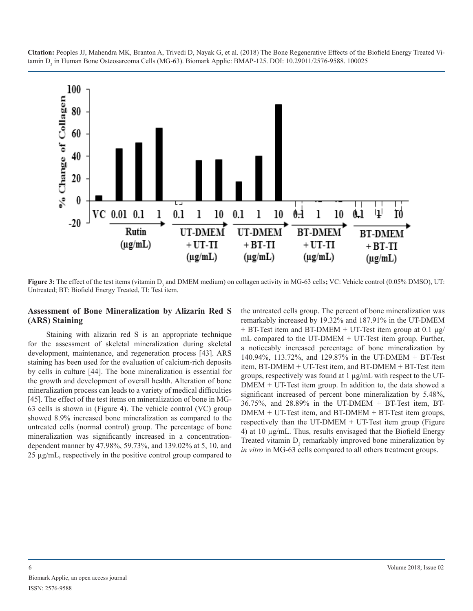

**Figure 3:** The effect of the test items (vitamin D<sub>3</sub> and DMEM medium) on collagen activity in MG-63 cells; VC: Vehicle control (0.05% DMSO), UT: Untreated; BT: Biofield Energy Treated, TI: Test item.

#### **Assessment of Bone Mineralization by Alizarin Red S (ARS) Staining**

Staining with alizarin red S is an appropriate technique for the assessment of skeletal mineralization during skeletal development, maintenance, and regeneration process [43]. ARS staining has been used for the evaluation of calcium-rich deposits by cells in culture [44]. The bone mineralization is essential for the growth and development of overall health. Alteration of bone mineralization process can leads to a variety of medical difficulties [45]. The effect of the test items on mineralization of bone in MG-63 cells is shown in (Figure 4). The vehicle control (VC) group showed 8.9% increased bone mineralization as compared to the untreated cells (normal control) group. The percentage of bone mineralization was significantly increased in a concentrationdependent manner by 47.98%, 59.73%, and 139.02% at 5, 10, and 25 µg/mL, respectively in the positive control group compared to the untreated cells group. The percent of bone mineralization was remarkably increased by 19.32% and 187.91% in the UT-DMEM + BT-Test item and BT-DMEM + UT-Test item group at 0.1 µg/ mL compared to the UT-DMEM + UT-Test item group. Further, a noticeably increased percentage of bone mineralization by 140.94%, 113.72%, and 129.87% in the UT-DMEM + BT-Test item, BT-DMEM + UT-Test item, and BT-DMEM + BT-Test item groups, respectively was found at 1 µg/mL with respect to the UT-DMEM + UT-Test item group. In addition to, the data showed a significant increased of percent bone mineralization by 5.48%, 36.75%, and 28.89% in the UT-DMEM + BT-Test item, BT- $DMEM + UT-Test$  item, and  $BT-DMEM + BT-Test$  item groups, respectively than the UT-DMEM  $+$  UT-Test item group (Figure 4) at 10 µg/mL. Thus, results envisaged that the Biofield Energy Treated vitamin  $D_3$  remarkably improved bone mineralization by *in vitro* in MG-63 cells compared to all others treatment groups.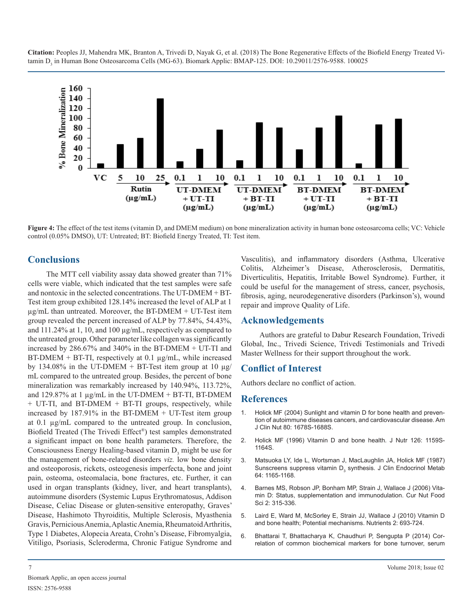

**Figure 4:** The effect of the test items (vitamin D<sub>3</sub> and DMEM medium) on bone mineralization activity in human bone osteosarcoma cells; VC: Vehicle control (0.05% DMSO), UT: Untreated; BT: Biofield Energy Treated, TI: Test item.

# **Conclusions**

The MTT cell viability assay data showed greater than 71% cells were viable, which indicated that the test samples were safe and nontoxic in the selected concentrations. The UT-DMEM + BT-Test item group exhibited 128.14% increased the level of ALP at 1  $\mu$ g/mL than untreated. Moreover, the BT-DMEM + UT-Test item group revealed the percent increased of ALP by 77.84%, 54.43%, and 111.24% at 1, 10, and 100 µg/mL, respectively as compared to the untreated group. Other parameter like collagen was significantly increased by 286.67% and 340% in the BT-DMEM + UT-TI and  $BT-DMEM + BT-TI$ , respectively at 0.1  $\mu$ g/mL, while increased by 134.08% in the UT-DMEM + BT-Test item group at 10  $\mu$ g/ mL compared to the untreated group. Besides, the percent of bone mineralization was remarkably increased by 140.94%, 113.72%, and 129.87% at 1  $\mu$ g/mL in the UT-DMEM + BT-TI, BT-DMEM + UT-TI, and BT-DMEM + BT-TI groups, respectively, while increased by 187.91% in the BT-DMEM + UT-Test item group at 0.1 µg/mL compared to the untreated group. In conclusion, Biofield Treated (The Trivedi Effect®) test samples demonstrated a significant impact on bone health parameters. Therefore, the Consciousness Energy Healing-based vitamin  $D_3$  might be use for the management of bone-related disorders *viz.* low bone density [and osteoporosis, rickets, osteogenesis imperfecta, bone and joint](https://www.ncbi.nlm.nih.gov/pubmed/3033008)  pain, osteoma, osteomalacia, bone fractures, etc. Further, it can used in organ transplants (kidney, liver, and heart transplants), [autoimmune disorders \(Systemic Lupus Erythromatosus, Addison](https://www.eurekaselect.com/77295/article/vitamin-d-status-supplementation-and-immunomodulation)  Disease, Celiac Disease or gluten-sensitive enteropathy, Graves' Disease, Hashimoto Thyroiditis, Multiple Sclerosis, Myasthenia [Gravis, Pernicious Anemia, Aplastic Anemia, Rheumatoid Arthritis,](https://www.ncbi.nlm.nih.gov/pmc/articles/PMC3257679/)  Type 1 Diabetes, Alopecia Areata, Crohn's Disease, Fibromyalgia, [Vitiligo, Psoriasis, Scleroderma, Chronic Fatigue Syndrome and](https://www.ncbi.nlm.nih.gov/pubmed/24639613) 

Vasculitis), and inflammatory disorders (Asthma, Ulcerative Colitis, Alzheimer's Disease, Atherosclerosis, Dermatitis, Diverticulitis, Hepatitis, Irritable Bowel Syndrome). Further, it could be useful for the management of stress, cancer, psychosis, fibrosis, aging, neurodegenerative disorders (Parkinson's), wound repair and improve Quality of Life.

# **Acknowledgements**

Authors are grateful to Dabur Research Foundation, Trivedi Global, Inc., Trivedi Science, Trivedi Testimonials and Trivedi Master Wellness for their support throughout the work.

# **Conflict of Interest**

Authors declare no conflict of action.

# **References**

- 1. [Holick MF \(2004\) Sunlight and vitamin D for bone health and preven](https://www.ncbi.nlm.nih.gov/pubmed/15585788)[tion of autoimmune diseases cancers, and cardiovascular disease. Am](https://www.ncbi.nlm.nih.gov/pubmed/15585788)  [J Clin Nut 80: 1678S-1688S.](https://www.ncbi.nlm.nih.gov/pubmed/15585788)
- 2. [Holick MF \(1996\) Vitamin D and bone health. J Nutr 126: 1159S-](https://www.ncbi.nlm.nih.gov/pubmed/8642450)1164S.
- 3. [Matsuoka LY, Ide L, Wortsman J, MacLaughlin JA, Holick MF \(1987\)](https://www.ncbi.nlm.nih.gov/pubmed/3033008)  Sunscreens suppress vitamin D<sub>3</sub> synthesis. J Clin Endocrinol Metab [64: 1165-1168.](https://www.ncbi.nlm.nih.gov/pubmed/3033008)
- 4. [Barnes MS, Robson JP, Bonham MP, Strain J, Wallace J \(2006\) Vita](https://www.eurekaselect.com/77295/article/vitamin-d-status-supplementation-and-immunomodulation)min D: Status, supplementation and immunodulation. Cur Nut Food [Sci 2: 315-336.](https://www.eurekaselect.com/77295/article/vitamin-d-status-supplementation-and-immunomodulation)
- 5. [Laird E, Ward M, McSorley E, Strain JJ, Wallace J \(2010\) Vitamin D](https://www.ncbi.nlm.nih.gov/pmc/articles/PMC3257679/) and bone health; Potential mechanisms. Nutrients 2: 693-724.
- 6. [Bhattarai T, Bhattacharya K, Chaudhuri P, Sengupta P \(2014\) Cor](https://www.ncbi.nlm.nih.gov/pubmed/24639613)relation of common biochemical markers for bone turnover, serum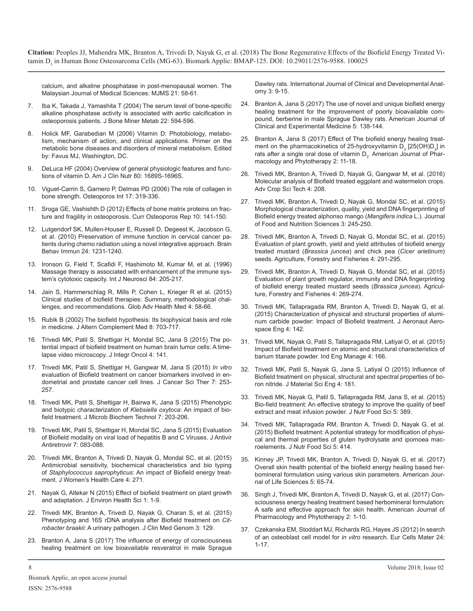[calcium, and alkaline phosphatase in post-menopausal women. The](https://www.ncbi.nlm.nih.gov/pubmed/24639613)  [Malaysian Journal of Medical Sciences: MJMS 21: 58-61.](https://www.ncbi.nlm.nih.gov/pubmed/24639613)

- 7. [Iba K, Takada J, Yamashita T \(2004\) The serum level of bone-specific](https://www.ncbi.nlm.nih.gov/pubmed/15490270)  alkaline phosphatase activity is associated with aortic calcification in [osteoporosis patients. J Bone Miner Metab 22: 594-596.](https://www.ncbi.nlm.nih.gov/pubmed/15490270)
- 8. Holick MF, Garabedian M (2006) Vitamin D: Photobiology, metabolism, mechanism of action, and clinical applications. Primer on the metabolic bone diseases and disorders of mineral metabolism. Edited by: Favus MJ, Washington, DC.
- [DeLuca HF \(2004\) Overview of general physiologic features and func](https://www.ncbi.nlm.nih.gov/pubmed/15585789)tions of vitamin D. Am J Clin Nutr 80: 1689S-1696S.
- 10. [Viguet-Carrin S, Garnero P, Delmas PD \(2006\) The role of collagen in](https://www.ncbi.nlm.nih.gov/pubmed/16341622)  bone strength. Osteoporos Int 17: 319-336.
- 11. [Sroga GE, Vashishth D \(2012\) Effects of bone matrix proteins on frac](https://www.ncbi.nlm.nih.gov/pubmed/22535528)ture and fragility in osteoporosis. Curr Osteoporos Rep 10: 141-150.
- 12. [Lutgendorf SK, Mullen-Houser E, Russell D, Degeest K, Jacobson G,](https://www.ncbi.nlm.nih.gov/pubmed/20600809)  et al. (2010) Preservation of immune function in cervical cancer pa[tients during chemo radiation using a novel integrative approach. Brain](https://www.ncbi.nlm.nih.gov/pubmed/20600809)  [Behav Immun 24: 1231-1240.](https://www.ncbi.nlm.nih.gov/pubmed/20600809)
- 13. [Ironson G, Field T, Scafidi F, Hashimoto M, Kumar M, et al. \(1996\)](https://www.ncbi.nlm.nih.gov/pubmed/8707483)  Massage therapy is associated with enhancement of the immune sys[tem's cytotoxic capacity. Int J Neurosci 84: 205-217.](https://www.ncbi.nlm.nih.gov/pubmed/8707483)
- 14. [Jain S, Hammerschlag R, Mills P, Cohen L, Krieger R et al. \(2015\)](https://www.ncbi.nlm.nih.gov/pmc/articles/PMC4654788/)  Clinical studies of biofield therapies: Summary, methodological chal[lenges, and recommendations. Glob Adv Health Med 4: 58-66.](https://www.ncbi.nlm.nih.gov/pmc/articles/PMC4654788/)
- 15. [Rubik B \(2002\) The biofield hypothesis: Its biophysical basis and role](https://www.ncbi.nlm.nih.gov/pubmed/12614524)  in medicine. J Altern Complement Med 8: 703-717.
- 16. [Trivedi MK, Patil S, Shettigar H, Mondal SC, Jana S \(2015\) The po](https://www.omicsonline.org/open-access/the-potential-impact-of-biofield-treatment-on-human-brain-tumor-cells-a-timelapse-video-microscopy-2329-6771-1000141.php?aid=60515)tential impact of biofield treatment on human brain tumor cells: A time[lapse video microscopy. J Integr Oncol 4: 141.](https://www.omicsonline.org/open-access/the-potential-impact-of-biofield-treatment-on-human-brain-tumor-cells-a-timelapse-video-microscopy-2329-6771-1000141.php?aid=60515)
- 17. [Trivedi MK, Patil S, Shettigar H, Gangwar M, Jana S \(2015\)](https://www.omicsonline.org/open-access/in-vitro-evaluation-of-biofield-treatment-on-cancer-biomarkers-involved-in-endometrial-and-prostate-cancer-cell-lines-1948-5956-1000358.php?aid=58658) *In vitro*  [evaluation of Biofield treatment on cancer biomarkers involved in en](https://www.omicsonline.org/open-access/in-vitro-evaluation-of-biofield-treatment-on-cancer-biomarkers-involved-in-endometrial-and-prostate-cancer-cell-lines-1948-5956-1000358.php?aid=58658)[dometrial and prostate cancer cell lines. J Cancer Sci Ther 7: 253-](https://www.omicsonline.org/open-access/in-vitro-evaluation-of-biofield-treatment-on-cancer-biomarkers-involved-in-endometrial-and-prostate-cancer-cell-lines-1948-5956-1000358.php?aid=58658) [257.](https://www.omicsonline.org/open-access/in-vitro-evaluation-of-biofield-treatment-on-cancer-biomarkers-involved-in-endometrial-and-prostate-cancer-cell-lines-1948-5956-1000358.php?aid=58658)
- 18. [Trivedi MK, Patil S, Shettigar H, Bairwa K, Jana S \(2015\) Phenotypic](https://www.trivedieffect.com/the-science/publications/microbiology-publications/phenotypic-and-biotypic-characterization-of-klebsiella-oxytoca-an-impact-of-biofield-treatment/)  and biotypic characterization of *Klebsiella oxytoca*: An impact of bio[field treatment. J Microb Biochem Technol 7: 203-206](https://www.trivedieffect.com/the-science/publications/microbiology-publications/phenotypic-and-biotypic-characterization-of-klebsiella-oxytoca-an-impact-of-biofield-treatment/).
- 19. [Trivedi MK, Patil S, Shettigar H, Mondal SC, Jana S \(2015\) Evaluation](https://www.trivedieffect.com/the-science/publications/microbiology-publications/evaluation-of-biofield-modality-on-viral-load-of-hepatitis-b-and-c-viruses/)  of Biofield modality on viral load of hepatitis B and C Viruses. J Antivir [Antiretrovir 7: 083-088.](https://www.trivedieffect.com/the-science/publications/microbiology-publications/evaluation-of-biofield-modality-on-viral-load-of-hepatitis-b-and-c-viruses/)
- 20. [Trivedi MK, Branton A, Trivedi D, Nayak G, Mondal SC, et al. \(2015\)](https://www.trivedieffect.com/the-science/publications/microbiology-publications/antimicrobial-sensitivity-biochemical-characteristics-and-biotyping-of-staphylococcus-saprophyticus-an-impact-of-biofield-energy-treatment/)  Antimicrobial sensitivity, biochemical characteristics and bio typing of *Staphylococcus saprophyticus*[: An impact of Biofield energy treat](https://www.trivedieffect.com/the-science/publications/microbiology-publications/antimicrobial-sensitivity-biochemical-characteristics-and-biotyping-of-staphylococcus-saprophyticus-an-impact-of-biofield-energy-treatment/)[ment. J Women's Health Care 4: 271.](https://www.trivedieffect.com/the-science/publications/microbiology-publications/antimicrobial-sensitivity-biochemical-characteristics-and-biotyping-of-staphylococcus-saprophyticus-an-impact-of-biofield-energy-treatment/)
- 21. [Nayak G, Altekar N \(2015\) Effect of biofield treatment on plant growth](https://www.trivedieffect.com/the-science/publications/biotechnology-publication/effect-of-a-biofield-treatment-on-plant-growth-and-adaptation/)  and adaptation. J Environ Health Sci 1: 1-9.
- 22. [Trivedi MK, Branton A, Trivedi D, Nayak G, Charan S, et al. \(2015\)](https://www.trivedieffect.com/the-science/publications/microbial-genetics-publications/phenotyping-and-16s-rdna-analysis-after-biofield-treatment-on-citrobacter-braakii-a-urinary-pathogen/) Phenotyping and 16S rDNA analysis after Biofield treatment on *Citrobacter braakii*[: A urinary pathogen. J Clin Med Genom 3: 129.](https://www.trivedieffect.com/the-science/publications/microbial-genetics-publications/phenotyping-and-16s-rdna-analysis-after-biofield-treatment-on-citrobacter-braakii-a-urinary-pathogen/)
- 23. [Branton A, Jana S \(2017\) The influence of energy of consciousness](http://www.sciencepublishinggroup.com/journal/paperinfo?journalid=361&doi=10.11648/j.ijcda.20170303.11)  healing treatment on low bioavailable resveratrol in male Sprague

[Dawley rats. International Journal of Clinical and Developmental Anat](http://www.sciencepublishinggroup.com/journal/paperinfo?journalid=361&doi=10.11648/j.ijcda.20170303.11)[omy 3: 9-15.](http://www.sciencepublishinggroup.com/journal/paperinfo?journalid=361&doi=10.11648/j.ijcda.20170303.11)

- 24. [Branton A, Jana S \(2017\) The use of novel and unique biofield energy](http://www.sciencepublishinggroup.com/journal/paperinfo?journalid=254&doi=10.11648/j.ajcem.20170504.16)  [healing treatment for the improvement of poorly bioavailable com](https://www.ncbi.nlm.nih.gov/pubmed/15490270)[pound, berberine in male Sprague Dawley rats. American Journal of](http://www.sciencepublishinggroup.com/journal/paperinfo?journalid=254&doi=10.11648/j.ajcem.20170504.16)  [Clinical and Experimental Medicine 5: 138-144.](http://www.sciencepublishinggroup.com/journal/paperinfo?journalid=254&doi=10.11648/j.ajcem.20170504.16)
- 25. [Branton A, Jana S \(2017\) Effect of The biofield energy healing treat](http://www.sciencepublishinggroup.com/journal/paperinfo?journalid=394&paperId=10023981)ment o[n](http://www.sciencepublishinggroup.com/journal/paperinfo?journalid=394&paperId=10023981) the pharmacokinetics of 25-hydroxyvitamin  $\mathsf{D}_3$  [25(OH) $\mathsf{D}_3$ ] in rats after a single oral dose of vitamin  $\mathsf{D}_{_{\mathrm{3}}}$ . American Journal of Phar[macology and Phytotherapy 2: 11-18.](http://www.sciencepublishinggroup.com/journal/paperinfo?journalid=394&paperId=10023981)
- 26. [Trivedi MK, Branton A, Trivedi D, Nayak G, Gangwar M, et al. \(2016\)](https://www.omicsonline.org/open-access/molecular-analysis-of-biofield-treated-eggplant-and-watermelon-crops-2329-8863-1000208.php?aid=68428) Molecular analysis of Biofield treated eggplant and watermelon crops. [Adv Crop Sci Tech 4: 208.](https://www.omicsonline.org/open-access/molecular-analysis-of-biofield-treated-eggplant-and-watermelon-crops-2329-8863-1000208.php?aid=68428)
- 27. [Trivedi MK, Branton A, Trivedi D, Nayak G, Mondal SC, et al. \(2015\)](https://hal.archives-ouvertes.fr/hal-01494980) Morphological characterization, quality, yield and DNA fingerprinting of [Biofield energy treated alphonso mango \(](https://www.ncbi.nlm.nih.gov/pubmed/22535528)*Mangifera indica* L.). Journal [of Food and Nutrition Sciences 3: 245-250.](https://hal.archives-ouvertes.fr/hal-01494980)
- 28. [Trivedi MK, Branton A, Trivedi D, Nayak G, Mondal SC, et al. \(2015\)](https://www.ncbi.nlm.nih.gov/pubmed/20600809)  Evaluation of plant growth, yield and yield attributes of biofield energy treated mustard (*Brassica juncea*[\) and chick pea \(](https://www.trivedieffect.com/the-science/publications/agriculture-publications/evaluation-of-plant-growth-yield-and-yield-attributes-of-biofield-energy-treated-mustard-brassica-juncea-and-chick-pea-cicer-arietinum-seeds/)*Cicer arietinum*) seeds. [Agriculture, Forestry and Fisheries 4: 291-295.](https://www.trivedieffect.com/the-science/publications/agriculture-publications/evaluation-of-plant-growth-yield-and-yield-attributes-of-biofield-energy-treated-mustard-brassica-juncea-and-chick-pea-cicer-arietinum-seeds/)
- 29. [Trivedi MK, Branton A, Trivedi D, Nayak G, Mondal SC, et al. \(2015\)](https://www.ncbi.nlm.nih.gov/pubmed/8707483)  Evaluation of plant growth regulator, immunity and DNA fingerprinting [of biofield energy treated mustard seeds \(](https://www.trivedieffect.com/the-science/publications/plant-genetics-publications/evaluation-of-plant-growth-regulator-immunity-and-dna-fingerprinting-of-biofield-energy-treated-mustard-seeds-brassica-juncea/)*Brassica juncea*). Agricul[ture, Forestry and Fisheries 4: 269-274.](https://www.trivedieffect.com/the-science/publications/plant-genetics-publications/evaluation-of-plant-growth-regulator-immunity-and-dna-fingerprinting-of-biofield-energy-treated-mustard-seeds-brassica-juncea/)
- 30. [Trivedi MK, Tallapragada RM, Branton A, Trivedi D, Nayak G, et al.](https://www.omicsonline.org/open-access/characterization-of-physical-and-structural-properties-of-aluminiumcarbide-powder-impact-of-biofield-treatment-2168-9792-1000142.php?aid=59172)  (2015) Characterization of physical and structural properties of alumi[num carbide powder: Impact of Biofield treatment. J Aeronaut Aero](https://www.omicsonline.org/open-access/characterization-of-physical-and-structural-properties-of-aluminiumcarbide-powder-impact-of-biofield-treatment-2168-9792-1000142.php?aid=59172)[space Eng 4: 142.](https://www.omicsonline.org/open-access/characterization-of-physical-and-structural-properties-of-aluminiumcarbide-powder-impact-of-biofield-treatment-2168-9792-1000142.php?aid=59172)
- 31. [Trivedi MK, Nayak G, Patil S, Tallapragada RM, Latiyal O, et al. \(2015\)](https://www.omicsonline.org/open-access/impact-of-biofield-treatment-on-atomic-and-structural-characteristics-ofbarium-titanate-powder-2169-0316-1000166.php?aid=57997)  [Impact of Biofield treatment on atomic and structural characteristics of](https://www.omicsonline.org/open-access/the-potential-impact-of-biofield-treatment-on-human-brain-tumor-cells-a-timelapse-video-microscopy-2329-6771-1000141.php?aid=60515) [barium titanate powder. Ind Eng Manage 4: 166.](https://www.omicsonline.org/open-access/impact-of-biofield-treatment-on-atomic-and-structural-characteristics-ofbarium-titanate-powder-2169-0316-1000166.php?aid=57997)
- 32. [Trivedi MK, Patil S, Nayak G, Jana S, Latiyal O \(2015\) Influence of](https://www.trivedieffect.com/the-science/publications/materials-science-publications/influence-of-biofield-treatment-on-physical-structural-and-spectral-properties-of-boron-nitride/)  Biofield treatment on physical, structural and spectral properties of bo[ron nitride. J Material Sci Eng 4: 181.](https://www.trivedieffect.com/the-science/publications/materials-science-publications/influence-of-biofield-treatment-on-physical-structural-and-spectral-properties-of-boron-nitride/)
- 33. [Trivedi MK, Nayak G, Patil S, Tallapragada RM, Jana S, et al. \(2015\)](https://www.trivedieffect.com/the-science/publications/nutraceuticals-publications/bio-field-treatment-an-effective-strategy-to-improve-the-quality-of-beef-extract-and-meat-infusion-powder/)  Bio-field treatment: An effective strategy to improve the quality of beef [extract and meat infusion powder. J Nutr Food Sci 5: 389.](https://www.trivedieffect.com/the-science/publications/nutraceuticals-publications/bio-field-treatment-an-effective-strategy-to-improve-the-quality-of-beef-extract-and-meat-infusion-powder/)
- 34. [Trivedi MK, Tallapragada RM, Branton A, Trivedi D, Nayak G, et al.](https://www.omicsonline.org/open-access/biofield-treatment-a-potential-strategy-for-modification-of-physical-and-thermal-properties-of-gluten-hydrolysate-and-ipomoea-macroelements-2155-9600-1000414.php?aid=60201)  (2015) Biofield treatment: A potential strategy for modification of physi[cal and thermal properties of gluten hydrolysate and ipomoea mac](https://www.omicsonline.org/open-access/biofield-treatment-a-potential-strategy-for-modification-of-physical-and-thermal-properties-of-gluten-hydrolysate-and-ipomoea-macroelements-2155-9600-1000414.php?aid=60201)[roelements. J Nutr Food Sci 5: 414.](https://www.omicsonline.org/open-access/biofield-treatment-a-potential-strategy-for-modification-of-physical-and-thermal-properties-of-gluten-hydrolysate-and-ipomoea-macroelements-2155-9600-1000414.php?aid=60201)
- 35. [Kinney JP, Trivedi MK, Branton A, Trivedi D, Nayak G, et al. \(2017\)](https://www.trivedieffect.com/the-science/biotech/publication/healers-science/skin-health/overall-skin-health-potential-of-the-biofield-energy-healing-based-herbomineral-formulation-using-various-skin-parameters/)  [Overall skin health potential of the biofield energy healing based her](https://www.trivedieffect.com/the-science/publications/microbiology-publications/antimicrobial-sensitivity-biochemical-characteristics-and-biotyping-of-staphylococcus-saprophyticus-an-impact-of-biofield-energy-treatment/)[bomineral formulation using various skin parameters. American Jour](https://www.trivedieffect.com/the-science/biotech/publication/healers-science/skin-health/overall-skin-health-potential-of-the-biofield-energy-healing-based-herbomineral-formulation-using-various-skin-parameters/)[nal of Life Sciences 5: 65-74.](https://www.trivedieffect.com/the-science/biotech/publication/healers-science/skin-health/overall-skin-health-potential-of-the-biofield-energy-healing-based-herbomineral-formulation-using-various-skin-parameters/)
- 36. [Singh J, Trivedi MK, Branton A, Trivedi D, Nayak G, et al. \(2017\) Con](https://www.trivedieffect.com/the-science/biotech/publication/healers-science/skin-health/consciousness-energy-healing-treatment-based-herbomineral-formulation-a-safe-and-effective-approach-for-skin-health/)[sciousness energy healing treatment based herbomineral formulation:](https://www.trivedieffect.com/the-science/publications/biotechnology-publication/effect-of-a-biofield-treatment-on-plant-growth-and-adaptation/) [A safe and effective approach for skin health. American Journal of](https://www.trivedieffect.com/the-science/biotech/publication/healers-science/skin-health/consciousness-energy-healing-treatment-based-herbomineral-formulation-a-safe-and-effective-approach-for-skin-health/)  [Pharmacology and Phytotherapy 2: 1-10.](https://www.trivedieffect.com/the-science/biotech/publication/healers-science/skin-health/consciousness-energy-healing-treatment-based-herbomineral-formulation-a-safe-and-effective-approach-for-skin-health/)
- 37. [Czekanska EM, Stoddart MJ, Richards RG, Hayes JS \(2012\) In search](https://www.ncbi.nlm.nih.gov/pubmed/22777949)  of an osteoblast cell model for *in vitro* research. Eur Cells Mater 24: [1-17.](https://www.ncbi.nlm.nih.gov/pubmed/22777949)